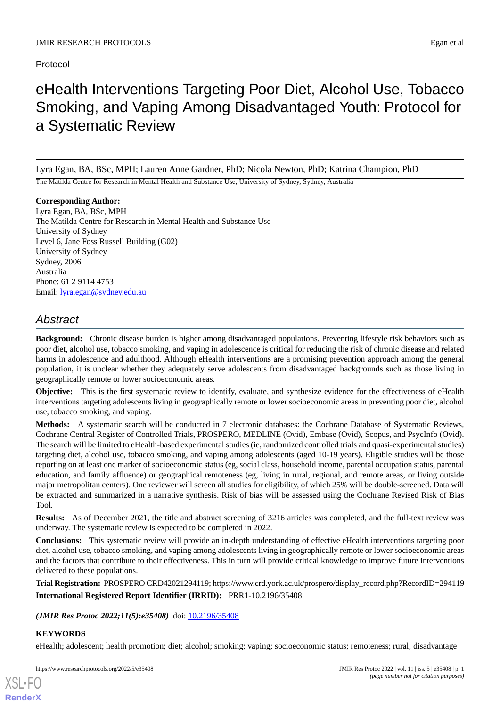# Protocol

# eHealth Interventions Targeting Poor Diet, Alcohol Use, Tobacco Smoking, and Vaping Among Disadvantaged Youth: Protocol for a Systematic Review

Lyra Egan, BA, BSc, MPH; Lauren Anne Gardner, PhD; Nicola Newton, PhD; Katrina Champion, PhD

The Matilda Centre for Research in Mental Health and Substance Use, University of Sydney, Sydney, Australia

**Corresponding Author:** Lyra Egan, BA, BSc, MPH The Matilda Centre for Research in Mental Health and Substance Use University of Sydney Level 6, Jane Foss Russell Building (G02) University of Sydney Sydney, 2006 Australia Phone: 61 2 9114 4753 Email: [lyra.egan@sydney.edu.au](mailto:lyra.egan@sydney.edu.au)

# *Abstract*

**Background:** Chronic disease burden is higher among disadvantaged populations. Preventing lifestyle risk behaviors such as poor diet, alcohol use, tobacco smoking, and vaping in adolescence is critical for reducing the risk of chronic disease and related harms in adolescence and adulthood. Although eHealth interventions are a promising prevention approach among the general population, it is unclear whether they adequately serve adolescents from disadvantaged backgrounds such as those living in geographically remote or lower socioeconomic areas.

**Objective:** This is the first systematic review to identify, evaluate, and synthesize evidence for the effectiveness of eHealth interventions targeting adolescents living in geographically remote or lower socioeconomic areas in preventing poor diet, alcohol use, tobacco smoking, and vaping.

**Methods:** A systematic search will be conducted in 7 electronic databases: the Cochrane Database of Systematic Reviews, Cochrane Central Register of Controlled Trials, PROSPERO, MEDLINE (Ovid), Embase (Ovid), Scopus, and PsycInfo (Ovid). The search will be limited to eHealth-based experimental studies (ie, randomized controlled trials and quasi-experimental studies) targeting diet, alcohol use, tobacco smoking, and vaping among adolescents (aged 10-19 years). Eligible studies will be those reporting on at least one marker of socioeconomic status (eg, social class, household income, parental occupation status, parental education, and family affluence) or geographical remoteness (eg, living in rural, regional, and remote areas, or living outside major metropolitan centers). One reviewer will screen all studies for eligibility, of which 25% will be double-screened. Data will be extracted and summarized in a narrative synthesis. Risk of bias will be assessed using the Cochrane Revised Risk of Bias Tool.

**Results:** As of December 2021, the title and abstract screening of 3216 articles was completed, and the full-text review was underway. The systematic review is expected to be completed in 2022.

**Conclusions:** This systematic review will provide an in-depth understanding of effective eHealth interventions targeting poor diet, alcohol use, tobacco smoking, and vaping among adolescents living in geographically remote or lower socioeconomic areas and the factors that contribute to their effectiveness. This in turn will provide critical knowledge to improve future interventions delivered to these populations.

**Trial Registration:** PROSPERO CRD42021294119; https://www.crd.york.ac.uk/prospero/display\_record.php?RecordID=294119 **International Registered Report Identifier (IRRID):** PRR1-10.2196/35408

(**JMIR Res Protoc 2022;11(5):e35408**) doi: [10.2196/35408](http://dx.doi.org/10.2196/35408)

# **KEYWORDS**

[XSL](http://www.w3.org/Style/XSL)•FO **[RenderX](http://www.renderx.com/)**

eHealth; adolescent; health promotion; diet; alcohol; smoking; vaping; socioeconomic status; remoteness; rural; disadvantage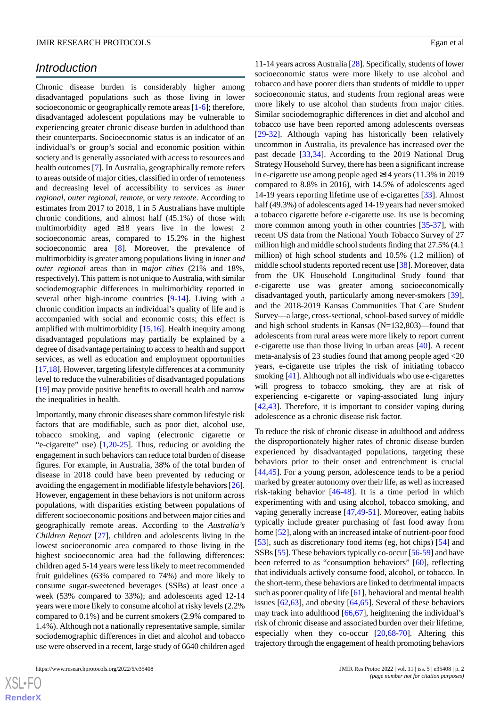# *Introduction*

Chronic disease burden is considerably higher among disadvantaged populations such as those living in lower socioeconomic or geographically remote areas [[1-](#page-4-0)[6\]](#page-5-0); therefore, disadvantaged adolescent populations may be vulnerable to experiencing greater chronic disease burden in adulthood than their counterparts. Socioeconomic status is an indicator of an individual's or group's social and economic position within society and is generally associated with access to resources and health outcomes [[7\]](#page-5-1). In Australia, geographically remote refers to areas outside of major cities, classified in order of remoteness and decreasing level of accessibility to services as *inner regional*, *outer regional*, *remote*, or *very remote*. According to estimates from 2017 to 2018, 1 in 5 Australians have multiple chronic conditions, and almost half (45.1%) of those with multimorbidity aged ≥18 years live in the lowest 2 socioeconomic areas, compared to 15.2% in the highest socioeconomic area [\[8](#page-5-2)]. Moreover, the prevalence of multimorbidity is greater among populations living in *inner and outer regional* areas than in *major cities* (21% and 18%, respectively). This pattern is not unique to Australia, with similar sociodemographic differences in multimorbidity reported in several other high-income countries [[9](#page-5-3)[-14](#page-5-4)]. Living with a chronic condition impacts an individual's quality of life and is accompanied with social and economic costs; this effect is amplified with multimorbidity [[15,](#page-5-5)[16\]](#page-5-6). Health inequity among disadvantaged populations may partially be explained by a degree of disadvantage pertaining to access to health and support services, as well as education and employment opportunities [[17,](#page-5-7)[18](#page-5-8)]. However, targeting lifestyle differences at a community level to reduce the vulnerabilities of disadvantaged populations [[19\]](#page-5-9) may provide positive benefits to overall health and narrow the inequalities in health.

Importantly, many chronic diseases share common lifestyle risk factors that are modifiable, such as poor diet, alcohol use, tobacco smoking, and vaping (electronic cigarette or "e-cigarette" use) [[1](#page-4-0)[,20](#page-5-10)-[25\]](#page-5-11). Thus, reducing or avoiding the engagement in such behaviors can reduce total burden of disease figures. For example, in Australia, 38% of the total burden of disease in 2018 could have been prevented by reducing or avoiding the engagement in modifiable lifestyle behaviors [[26\]](#page-6-0). However, engagement in these behaviors is not uniform across populations, with disparities existing between populations of different socioeconomic positions and between major cities and geographically remote areas. According to the *Australia's Children Report* [\[27](#page-6-1)], children and adolescents living in the lowest socioeconomic area compared to those living in the highest socioeconomic area had the following differences: children aged 5-14 years were less likely to meet recommended fruit guidelines (63% compared to 74%) and more likely to consume sugar-sweetened beverages (SSBs) at least once a week (53% compared to 33%); and adolescents aged 12-14 years were more likely to consume alcohol at risky levels (2.2% compared to 0.1%) and be current smokers (2.9% compared to 1.4%). Although not a nationally representative sample, similar sociodemographic differences in diet and alcohol and tobacco use were observed in a recent, large study of 6640 children aged

11-14 years across Australia [[28](#page-6-2)]. Specifically, students of lower socioeconomic status were more likely to use alcohol and tobacco and have poorer diets than students of middle to upper socioeconomic status, and students from regional areas were more likely to use alcohol than students from major cities. Similar sociodemographic differences in diet and alcohol and tobacco use have been reported among adolescents overseas [[29](#page-6-3)[-32](#page-6-4)]. Although vaping has historically been relatively uncommon in Australia, its prevalence has increased over the past decade [[33](#page-6-5)[,34](#page-6-6)]. According to the 2019 National Drug Strategy Household Survey, there has been a significant increase in e-cigarette use among people aged ≥14 years (11.3% in 2019 compared to 8.8% in 2016), with 14.5% of adolescents aged 14-19 years reporting lifetime use of e-cigarettes [[33\]](#page-6-5). Almost half (49.3%) of adolescents aged 14-19 years had never smoked a tobacco cigarette before e-cigarette use. Its use is becoming more common among youth in other countries [\[35](#page-6-7)-[37\]](#page-6-8), with recent US data from the National Youth Tobacco Survey of 27 million high and middle school students finding that 27.5% (4.1 million) of high school students and 10.5% (1.2 million) of middle school students reported recent use [[38\]](#page-6-9). Moreover, data from the UK Household Longitudinal Study found that e-cigarette use was greater among socioeconomically disadvantaged youth, particularly among never-smokers [[39\]](#page-6-10), and the 2018-2019 Kansas Communities That Care Student Survey—a large, cross-sectional, school-based survey of middle and high school students in Kansas (N=132,803)—found that adolescents from rural areas were more likely to report current e-cigarette use than those living in urban areas [\[40](#page-6-11)]. A recent meta-analysis of 23 studies found that among people aged <20 years, e-cigarette use triples the risk of initiating tobacco smoking [\[41](#page-6-12)]. Although not all individuals who use e-cigarettes will progress to tobacco smoking, they are at risk of experiencing e-cigarette or vaping-associated lung injury [[42,](#page-6-13)[43\]](#page-6-14). Therefore, it is important to consider vaping during adolescence as a chronic disease risk factor.

To reduce the risk of chronic disease in adulthood and address the disproportionately higher rates of chronic disease burden experienced by disadvantaged populations, targeting these behaviors prior to their onset and entrenchment is crucial [[44,](#page-6-15)[45\]](#page-6-16). For a young person, adolescence tends to be a period marked by greater autonomy over their life, as well as increased risk-taking behavior [\[46](#page-6-17)-[48\]](#page-6-18). It is a time period in which experimenting with and using alcohol, tobacco smoking, and vaping generally increase [[47,](#page-6-19)[49](#page-7-0)-[51\]](#page-7-1). Moreover, eating habits typically include greater purchasing of fast food away from home [\[52](#page-7-2)], along with an increased intake of nutrient-poor food [[53\]](#page-7-3), such as discretionary food items (eg, hot chips) [\[54](#page-7-4)] and SSBs [\[55](#page-7-5)]. These behaviors typically co-occur [[56-](#page-7-6)[59\]](#page-7-7) and have been referred to as "consumption behaviors" [[60\]](#page-7-8), reflecting that individuals actively consume food, alcohol, or tobacco. In the short-term, these behaviors are linked to detrimental impacts such as poorer quality of life [[61\]](#page-7-9), behavioral and mental health issues  $[62,63]$  $[62,63]$  $[62,63]$  $[62,63]$ , and obesity  $[64,65]$  $[64,65]$  $[64,65]$  $[64,65]$ . Several of these behaviors may track into adulthood [\[66](#page-7-14),[67\]](#page-7-15), heightening the individual's risk of chronic disease and associated burden over their lifetime, especially when they co-occur  $[20,68-70]$  $[20,68-70]$  $[20,68-70]$  $[20,68-70]$ . Altering this trajectory through the engagement of health promoting behaviors

 $XS$ -FO **[RenderX](http://www.renderx.com/)**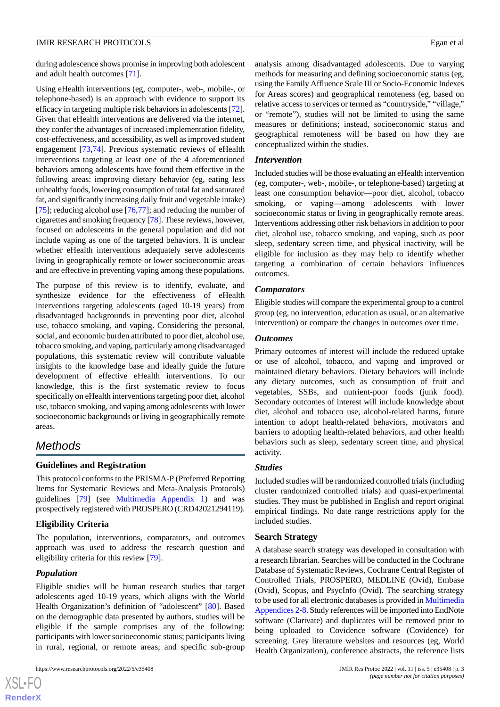during adolescence shows promise in improving both adolescent and adult health outcomes [\[71](#page-8-0)].

Using eHealth interventions (eg, computer-, web-, mobile-, or telephone-based) is an approach with evidence to support its efficacy in targeting multiple risk behaviors in adolescents [[72\]](#page-8-1). Given that eHealth interventions are delivered via the internet, they confer the advantages of increased implementation fidelity, cost-effectiveness, and accessibility, as well as improved student engagement [[73](#page-8-2)[,74](#page-8-3)]. Previous systematic reviews of eHealth interventions targeting at least one of the 4 aforementioned behaviors among adolescents have found them effective in the following areas: improving dietary behavior (eg, eating less unhealthy foods, lowering consumption of total fat and saturated fat, and significantly increasing daily fruit and vegetable intake) [[75\]](#page-8-4); reducing alcohol use [[76,](#page-8-5)[77](#page-8-6)]; and reducing the number of cigarettes and smoking frequency [[78\]](#page-8-7). These reviews, however, focused on adolescents in the general population and did not include vaping as one of the targeted behaviors. It is unclear whether eHealth interventions adequately serve adolescents living in geographically remote or lower socioeconomic areas and are effective in preventing vaping among these populations.

The purpose of this review is to identify, evaluate, and synthesize evidence for the effectiveness of eHealth interventions targeting adolescents (aged 10-19 years) from disadvantaged backgrounds in preventing poor diet, alcohol use, tobacco smoking, and vaping. Considering the personal, social, and economic burden attributed to poor diet, alcohol use, tobacco smoking, and vaping, particularly among disadvantaged populations, this systematic review will contribute valuable insights to the knowledge base and ideally guide the future development of effective eHealth interventions. To our knowledge, this is the first systematic review to focus specifically on eHealth interventions targeting poor diet, alcohol use, tobacco smoking, and vaping among adolescents with lower socioeconomic backgrounds or living in geographically remote areas.

# *Methods*

# **Guidelines and Registration**

This protocol conforms to the PRISMA-P (Preferred Reporting Items for Systematic Reviews and Meta-Analysis Protocols) guidelines [\[79](#page-8-8)] (see [Multimedia Appendix 1\)](#page-4-1) and was prospectively registered with PROSPERO (CRD42021294119).

# **Eligibility Criteria**

The population, interventions, comparators, and outcomes approach was used to address the research question and eligibility criteria for this review [\[79](#page-8-8)].

# *Population*

[XSL](http://www.w3.org/Style/XSL)•FO **[RenderX](http://www.renderx.com/)**

Eligible studies will be human research studies that target adolescents aged 10-19 years, which aligns with the World Health Organization's definition of "adolescent" [[80\]](#page-8-9). Based on the demographic data presented by authors, studies will be eligible if the sample comprises any of the following: participants with lower socioeconomic status; participants living in rural, regional, or remote areas; and specific sub-group

analysis among disadvantaged adolescents. Due to varying methods for measuring and defining socioeconomic status (eg, using the Family Affluence Scale III or Socio-Economic Indexes for Areas scores) and geographical remoteness (eg, based on relative access to services or termed as "countryside," "village," or "remote"), studies will not be limited to using the same measures or definitions; instead, socioeconomic status and geographical remoteness will be based on how they are conceptualized within the studies.

# *Intervention*

Included studies will be those evaluating an eHealth intervention (eg, computer-, web-, mobile-, or telephone-based) targeting at least one consumption behavior—poor diet, alcohol, tobacco smoking, or vaping—among adolescents with lower socioeconomic status or living in geographically remote areas. Interventions addressing other risk behaviors in addition to poor diet, alcohol use, tobacco smoking, and vaping, such as poor sleep, sedentary screen time, and physical inactivity, will be eligible for inclusion as they may help to identify whether targeting a combination of certain behaviors influences outcomes.

#### *Comparators*

Eligible studies will compare the experimental group to a control group (eg, no intervention, education as usual, or an alternative intervention) or compare the changes in outcomes over time.

#### *Outcomes*

Primary outcomes of interest will include the reduced uptake or use of alcohol, tobacco, and vaping and improved or maintained dietary behaviors. Dietary behaviors will include any dietary outcomes, such as consumption of fruit and vegetables, SSBs, and nutrient-poor foods (junk food). Secondary outcomes of interest will include knowledge about diet, alcohol and tobacco use, alcohol-related harms, future intention to adopt health-related behaviors, motivators and barriers to adopting health-related behaviors, and other health behaviors such as sleep, sedentary screen time, and physical activity.

# *Studies*

Included studies will be randomized controlled trials (including cluster randomized controlled trials) and quasi-experimental studies. They must be published in English and report original empirical findings. No date range restrictions apply for the included studies.

# **Search Strategy**

A database search strategy was developed in consultation with a research librarian. Searches will be conducted in the Cochrane Database of Systematic Reviews, Cochrane Central Register of Controlled Trials, PROSPERO, MEDLINE (Ovid), Embase (Ovid), Scopus, and PsycInfo (Ovid). The searching strategy to be used for all electronic databases is provided in [Multimedia](#page-4-2) [Appendices 2-](#page-4-2)[8.](#page-4-3) Study references will be imported into EndNote software (Clarivate) and duplicates will be removed prior to being uploaded to Covidence software (Covidence) for screening. Grey literature websites and resources (eg, World Health Organization), conference abstracts, the reference lists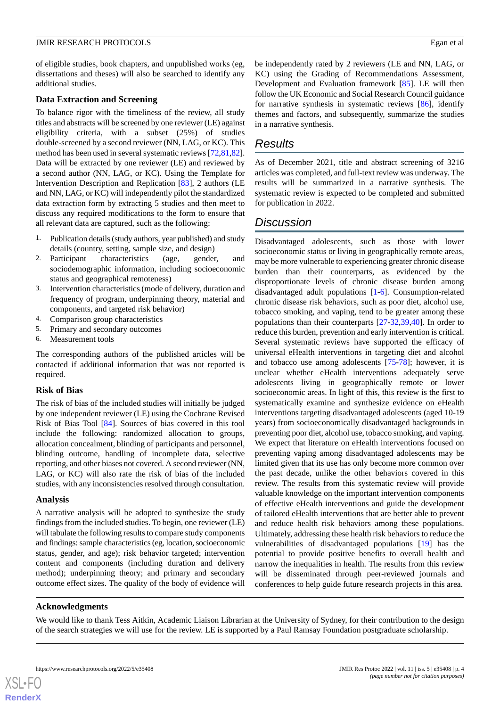of eligible studies, book chapters, and unpublished works (eg, dissertations and theses) will also be searched to identify any additional studies.

#### **Data Extraction and Screening**

To balance rigor with the timeliness of the review, all study titles and abstracts will be screened by one reviewer (LE) against eligibility criteria, with a subset (25%) of studies double-screened by a second reviewer (NN, LAG, or KC). This method has been used in several systematic reviews [[72](#page-8-1)[,81](#page-8-10),[82\]](#page-8-11). Data will be extracted by one reviewer (LE) and reviewed by a second author (NN, LAG, or KC). Using the Template for Intervention Description and Replication [[83\]](#page-8-12), 2 authors (LE and NN, LAG, or KC) will independently pilot the standardized data extraction form by extracting 5 studies and then meet to discuss any required modifications to the form to ensure that all relevant data are captured, such as the following:

- 1. Publication details (study authors, year published) and study details (country, setting, sample size, and design)
- 2. Participant characteristics (age, gender, and sociodemographic information, including socioeconomic status and geographical remoteness)
- 3. Intervention characteristics (mode of delivery, duration and frequency of program, underpinning theory, material and components, and targeted risk behavior)
- 4. Comparison group characteristics
- 5. Primary and secondary outcomes
- 6. Measurement tools

The corresponding authors of the published articles will be contacted if additional information that was not reported is required.

#### **Risk of Bias**

The risk of bias of the included studies will initially be judged by one independent reviewer (LE) using the Cochrane Revised Risk of Bias Tool [[84\]](#page-8-13). Sources of bias covered in this tool include the following: randomized allocation to groups, allocation concealment, blinding of participants and personnel, blinding outcome, handling of incomplete data, selective reporting, and other biases not covered. A second reviewer (NN, LAG, or KC) will also rate the risk of bias of the included studies, with any inconsistencies resolved through consultation.

#### **Analysis**

A narrative analysis will be adopted to synthesize the study findings from the included studies. To begin, one reviewer (LE) will tabulate the following results to compare study components and findings: sample characteristics (eg, location, socioeconomic status, gender, and age); risk behavior targeted; intervention content and components (including duration and delivery method); underpinning theory; and primary and secondary outcome effect sizes. The quality of the body of evidence will be independently rated by 2 reviewers (LE and NN, LAG, or KC) using the Grading of Recommendations Assessment, Development and Evaluation framework [[85\]](#page-8-14). LE will then follow the UK Economic and Social Research Council guidance for narrative synthesis in systematic reviews [[86\]](#page-8-15), identify themes and factors, and subsequently, summarize the studies in a narrative synthesis.

# *Results*

As of December 2021, title and abstract screening of 3216 articles was completed, and full-text review was underway. The results will be summarized in a narrative synthesis. The systematic review is expected to be completed and submitted for publication in 2022.

# *Discussion*

Disadvantaged adolescents, such as those with lower socioeconomic status or living in geographically remote areas, may be more vulnerable to experiencing greater chronic disease burden than their counterparts, as evidenced by the disproportionate levels of chronic disease burden among disadvantaged adult populations [\[1-](#page-4-0)[6\]](#page-5-0). Consumption-related chronic disease risk behaviors, such as poor diet, alcohol use, tobacco smoking, and vaping, tend to be greater among these populations than their counterparts [[27-](#page-6-1)[32,](#page-6-4)[39,](#page-6-10)[40\]](#page-6-11). In order to reduce this burden, prevention and early intervention is critical. Several systematic reviews have supported the efficacy of universal eHealth interventions in targeting diet and alcohol and tobacco use among adolescents [[75-](#page-8-4)[78](#page-8-7)]; however, it is unclear whether eHealth interventions adequately serve adolescents living in geographically remote or lower socioeconomic areas. In light of this, this review is the first to systematically examine and synthesize evidence on eHealth interventions targeting disadvantaged adolescents (aged 10-19 years) from socioeconomically disadvantaged backgrounds in preventing poor diet, alcohol use, tobacco smoking, and vaping. We expect that literature on eHealth interventions focused on preventing vaping among disadvantaged adolescents may be limited given that its use has only become more common over the past decade, unlike the other behaviors covered in this review. The results from this systematic review will provide valuable knowledge on the important intervention components of effective eHealth interventions and guide the development of tailored eHealth interventions that are better able to prevent and reduce health risk behaviors among these populations. Ultimately, addressing these health risk behaviors to reduce the vulnerabilities of disadvantaged populations [\[19](#page-5-9)] has the potential to provide positive benefits to overall health and narrow the inequalities in health. The results from this review will be disseminated through peer-reviewed journals and conferences to help guide future research projects in this area.

#### **Acknowledgments**

We would like to thank Tess Aitkin, Academic Liaison Librarian at the University of Sydney, for their contribution to the design of the search strategies we will use for the review. LE is supported by a Paul Ramsay Foundation postgraduate scholarship.

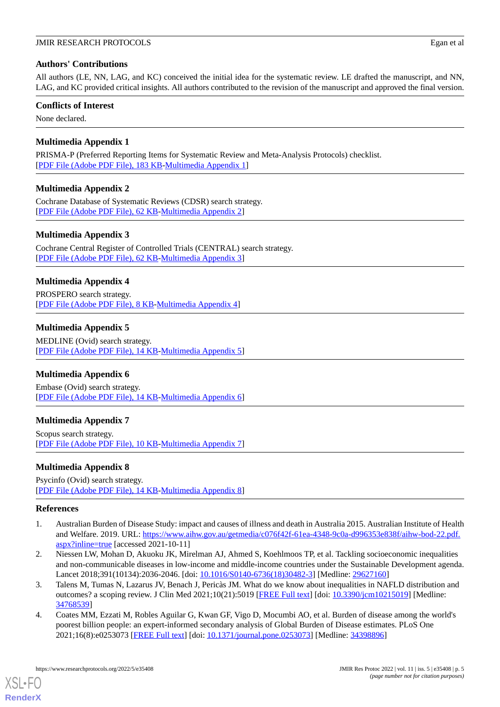# **Authors' Contributions**

All authors (LE, NN, LAG, and KC) conceived the initial idea for the systematic review. LE drafted the manuscript, and NN, LAG, and KC provided critical insights. All authors contributed to the revision of the manuscript and approved the final version.

### **Conflicts of Interest**

<span id="page-4-1"></span>None declared.

# **Multimedia Appendix 1**

<span id="page-4-2"></span>PRISMA-P (Preferred Reporting Items for Systematic Review and Meta-Analysis Protocols) checklist. [[PDF File \(Adobe PDF File\), 183 KB](https://jmir.org/api/download?alt_name=resprot_v11i5e35408_app1.pdf&filename=b595ed5e970f1a2009efcfbc945f3e8d.pdf)-[Multimedia Appendix 1\]](https://jmir.org/api/download?alt_name=resprot_v11i5e35408_app1.pdf&filename=b595ed5e970f1a2009efcfbc945f3e8d.pdf)

# **Multimedia Appendix 2**

Cochrane Database of Systematic Reviews (CDSR) search strategy. [[PDF File \(Adobe PDF File\), 62 KB](https://jmir.org/api/download?alt_name=resprot_v11i5e35408_app2.pdf&filename=8b8f2ce6a646fd0fca2c8988fac07b04.pdf)-[Multimedia Appendix 2\]](https://jmir.org/api/download?alt_name=resprot_v11i5e35408_app2.pdf&filename=8b8f2ce6a646fd0fca2c8988fac07b04.pdf)

# **Multimedia Appendix 3**

Cochrane Central Register of Controlled Trials (CENTRAL) search strategy. [[PDF File \(Adobe PDF File\), 62 KB](https://jmir.org/api/download?alt_name=resprot_v11i5e35408_app3.pdf&filename=a0c41b0ae4fbf03219bbacaa75a195b3.pdf)-[Multimedia Appendix 3\]](https://jmir.org/api/download?alt_name=resprot_v11i5e35408_app3.pdf&filename=a0c41b0ae4fbf03219bbacaa75a195b3.pdf)

# **Multimedia Appendix 4**

PROSPERO search strategy. [[PDF File \(Adobe PDF File\), 8 KB](https://jmir.org/api/download?alt_name=resprot_v11i5e35408_app4.pdf&filename=0006b5744214b86d5f0b5726c4293a59.pdf)-[Multimedia Appendix 4\]](https://jmir.org/api/download?alt_name=resprot_v11i5e35408_app4.pdf&filename=0006b5744214b86d5f0b5726c4293a59.pdf)

# **Multimedia Appendix 5**

MEDLINE (Ovid) search strategy. [[PDF File \(Adobe PDF File\), 14 KB](https://jmir.org/api/download?alt_name=resprot_v11i5e35408_app5.pdf&filename=0c40d6c7d2a9557f7c3bfb2988fc206a.pdf)-[Multimedia Appendix 5\]](https://jmir.org/api/download?alt_name=resprot_v11i5e35408_app5.pdf&filename=0c40d6c7d2a9557f7c3bfb2988fc206a.pdf)

# **Multimedia Appendix 6**

Embase (Ovid) search strategy. [[PDF File \(Adobe PDF File\), 14 KB](https://jmir.org/api/download?alt_name=resprot_v11i5e35408_app6.pdf&filename=dd5e36e2342d52989e214cf1eeda9ce2.pdf)-[Multimedia Appendix 6\]](https://jmir.org/api/download?alt_name=resprot_v11i5e35408_app6.pdf&filename=dd5e36e2342d52989e214cf1eeda9ce2.pdf)

# <span id="page-4-3"></span>**Multimedia Appendix 7**

Scopus search strategy. [[PDF File \(Adobe PDF File\), 10 KB](https://jmir.org/api/download?alt_name=resprot_v11i5e35408_app7.pdf&filename=93161d1d9e465045fef8fc91d0c6f748.pdf)-[Multimedia Appendix 7\]](https://jmir.org/api/download?alt_name=resprot_v11i5e35408_app7.pdf&filename=93161d1d9e465045fef8fc91d0c6f748.pdf)

# <span id="page-4-0"></span>**Multimedia Appendix 8**

Psycinfo (Ovid) search strategy. [[PDF File \(Adobe PDF File\), 14 KB](https://jmir.org/api/download?alt_name=resprot_v11i5e35408_app8.pdf&filename=8f3127005b48b40bd1d9391627141c72.pdf)-[Multimedia Appendix 8\]](https://jmir.org/api/download?alt_name=resprot_v11i5e35408_app8.pdf&filename=8f3127005b48b40bd1d9391627141c72.pdf)

# **References**

- 1. Australian Burden of Disease Study: impact and causes of illness and death in Australia 2015. Australian Institute of Health and Welfare. 2019. URL: [https://www.aihw.gov.au/getmedia/c076f42f-61ea-4348-9c0a-d996353e838f/aihw-bod-22.pdf.](https://www.aihw.gov.au/getmedia/c076f42f-61ea-4348-9c0a-d996353e838f/aihw-bod-22.pdf.aspx?inline=true) [aspx?inline=true](https://www.aihw.gov.au/getmedia/c076f42f-61ea-4348-9c0a-d996353e838f/aihw-bod-22.pdf.aspx?inline=true) [accessed 2021-10-11]
- 2. Niessen LW, Mohan D, Akuoku JK, Mirelman AJ, Ahmed S, Koehlmoos TP, et al. Tackling socioeconomic inequalities and non-communicable diseases in low-income and middle-income countries under the Sustainable Development agenda. Lancet 2018;391(10134):2036-2046. [doi: [10.1016/S0140-6736\(18\)30482-3](http://dx.doi.org/10.1016/S0140-6736(18)30482-3)] [Medline: [29627160](http://www.ncbi.nlm.nih.gov/entrez/query.fcgi?cmd=Retrieve&db=PubMed&list_uids=29627160&dopt=Abstract)]
- 3. Talens M, Tumas N, Lazarus JV, Benach J, Pericàs JM. What do we know about inequalities in NAFLD distribution and outcomes? a scoping review. J Clin Med 2021;10(21):5019 [\[FREE Full text\]](https://www.mdpi.com/resolver?pii=jcm10215019) [doi: [10.3390/jcm10215019](http://dx.doi.org/10.3390/jcm10215019)] [Medline: [34768539](http://www.ncbi.nlm.nih.gov/entrez/query.fcgi?cmd=Retrieve&db=PubMed&list_uids=34768539&dopt=Abstract)]
- 4. Coates MM, Ezzati M, Robles Aguilar G, Kwan GF, Vigo D, Mocumbi AO, et al. Burden of disease among the world's poorest billion people: an expert-informed secondary analysis of Global Burden of Disease estimates. PLoS One 2021;16(8):e0253073 [\[FREE Full text](https://dx.plos.org/10.1371/journal.pone.0253073)] [doi: [10.1371/journal.pone.0253073\]](http://dx.doi.org/10.1371/journal.pone.0253073) [Medline: [34398896\]](http://www.ncbi.nlm.nih.gov/entrez/query.fcgi?cmd=Retrieve&db=PubMed&list_uids=34398896&dopt=Abstract)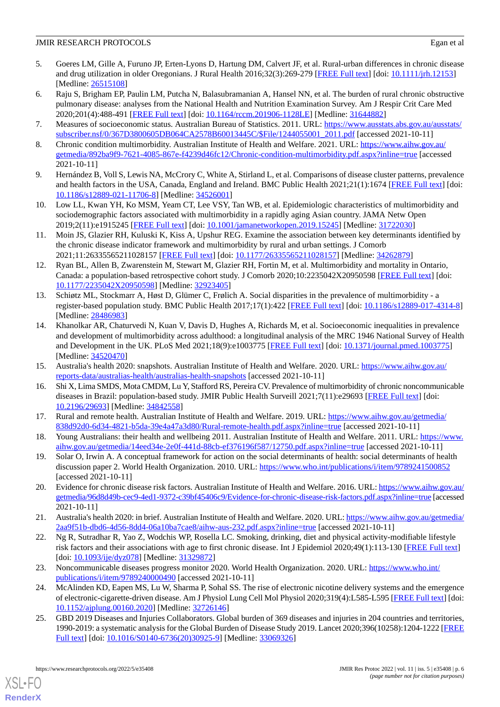- 5. Goeres LM, Gille A, Furuno JP, Erten-Lyons D, Hartung DM, Calvert JF, et al. Rural-urban differences in chronic disease and drug utilization in older Oregonians. J Rural Health 2016;32(3):269-279 [\[FREE Full text\]](http://europepmc.org/abstract/MED/26515108) [doi: [10.1111/jrh.12153\]](http://dx.doi.org/10.1111/jrh.12153) [Medline: [26515108](http://www.ncbi.nlm.nih.gov/entrez/query.fcgi?cmd=Retrieve&db=PubMed&list_uids=26515108&dopt=Abstract)]
- <span id="page-5-0"></span>6. Raju S, Brigham EP, Paulin LM, Putcha N, Balasubramanian A, Hansel NN, et al. The burden of rural chronic obstructive pulmonary disease: analyses from the National Health and Nutrition Examination Survey. Am J Respir Crit Care Med 2020;201(4):488-491 [[FREE Full text](http://europepmc.org/abstract/MED/31644882)] [doi: [10.1164/rccm.201906-1128LE\]](http://dx.doi.org/10.1164/rccm.201906-1128LE) [Medline: [31644882\]](http://www.ncbi.nlm.nih.gov/entrez/query.fcgi?cmd=Retrieve&db=PubMed&list_uids=31644882&dopt=Abstract)
- <span id="page-5-2"></span><span id="page-5-1"></span>7. Measures of socioeconomic status. Australian Bureau of Statistics. 2011. URL: [https://www.ausstats.abs.gov.au/ausstats/](https://www.ausstats.abs.gov.au/ausstats/subscriber.nsf/0/367D3800605DB064CA2578B60013445C/$File/1244055001_2011.pdf) [subscriber.nsf/0/367D3800605DB064CA2578B60013445C/\\$File/1244055001\\_2011.pdf](https://www.ausstats.abs.gov.au/ausstats/subscriber.nsf/0/367D3800605DB064CA2578B60013445C/$File/1244055001_2011.pdf) [accessed 2021-10-11]
- <span id="page-5-3"></span>8. Chronic condition multimorbidity. Australian Institute of Health and Welfare. 2021. URL: [https://www.aihw.gov.au/](https://www.aihw.gov.au/getmedia/892ba9f9-7621-4085-867e-f4239d46fc12/Chronic-condition-multimorbidity.pdf.aspx?inline=true) [getmedia/892ba9f9-7621-4085-867e-f4239d46fc12/Chronic-condition-multimorbidity.pdf.aspx?inline=true](https://www.aihw.gov.au/getmedia/892ba9f9-7621-4085-867e-f4239d46fc12/Chronic-condition-multimorbidity.pdf.aspx?inline=true) [accessed 2021-10-11]
- 9. Hernández B, Voll S, Lewis NA, McCrory C, White A, Stirland L, et al. Comparisons of disease cluster patterns, prevalence and health factors in the USA, Canada, England and Ireland. BMC Public Health 2021;21(1):1674 [\[FREE Full text](https://bmcpublichealth.biomedcentral.com/articles/10.1186/s12889-021-11706-8)] [doi: [10.1186/s12889-021-11706-8\]](http://dx.doi.org/10.1186/s12889-021-11706-8) [Medline: [34526001\]](http://www.ncbi.nlm.nih.gov/entrez/query.fcgi?cmd=Retrieve&db=PubMed&list_uids=34526001&dopt=Abstract)
- 10. Low LL, Kwan YH, Ko MSM, Yeam CT, Lee VSY, Tan WB, et al. Epidemiologic characteristics of multimorbidity and sociodemographic factors associated with multimorbidity in a rapidly aging Asian country. JAMA Netw Open 2019;2(11):e1915245 [\[FREE Full text](https://jamanetwork.com/journals/jamanetworkopen/fullarticle/10.1001/jamanetworkopen.2019.15245)] [doi: [10.1001/jamanetworkopen.2019.15245](http://dx.doi.org/10.1001/jamanetworkopen.2019.15245)] [Medline: [31722030](http://www.ncbi.nlm.nih.gov/entrez/query.fcgi?cmd=Retrieve&db=PubMed&list_uids=31722030&dopt=Abstract)]
- 11. Moin JS, Glazier RH, Kuluski K, Kiss A, Upshur REG. Examine the association between key determinants identified by the chronic disease indicator framework and multimorbidity by rural and urban settings. J Comorb 2021;11:26335565211028157 [[FREE Full text](https://journals.sagepub.com/doi/10.1177/26335565211028157?url_ver=Z39.88-2003&rfr_id=ori:rid:crossref.org&rfr_dat=cr_pub%3dpubmed)] [doi: [10.1177/26335565211028157\]](http://dx.doi.org/10.1177/26335565211028157) [Medline: [34262879\]](http://www.ncbi.nlm.nih.gov/entrez/query.fcgi?cmd=Retrieve&db=PubMed&list_uids=34262879&dopt=Abstract)
- 12. Ryan BL, Allen B, Zwarenstein M, Stewart M, Glazier RH, Fortin M, et al. Multimorbidity and mortality in Ontario, Canada: a population-based retrospective cohort study. J Comorb 2020;10:2235042X20950598 [\[FREE Full text\]](https://journals.sagepub.com/doi/10.1177/2235042X20950598?url_ver=Z39.88-2003&rfr_id=ori:rid:crossref.org&rfr_dat=cr_pub%3dpubmed) [doi: [10.1177/2235042X20950598](http://dx.doi.org/10.1177/2235042X20950598)] [Medline: [32923405\]](http://www.ncbi.nlm.nih.gov/entrez/query.fcgi?cmd=Retrieve&db=PubMed&list_uids=32923405&dopt=Abstract)
- <span id="page-5-4"></span>13. Schiøtz ML, Stockmarr A, Høst D, Glümer C, Frølich A. Social disparities in the prevalence of multimorbidity - a register-based population study. BMC Public Health 2017;17(1):422 [\[FREE Full text](https://bmcpublichealth.biomedcentral.com/articles/10.1186/s12889-017-4314-8)] [doi: [10.1186/s12889-017-4314-8\]](http://dx.doi.org/10.1186/s12889-017-4314-8) [Medline: [28486983](http://www.ncbi.nlm.nih.gov/entrez/query.fcgi?cmd=Retrieve&db=PubMed&list_uids=28486983&dopt=Abstract)]
- <span id="page-5-5"></span>14. Khanolkar AR, Chaturvedi N, Kuan V, Davis D, Hughes A, Richards M, et al. Socioeconomic inequalities in prevalence and development of multimorbidity across adulthood: a longitudinal analysis of the MRC 1946 National Survey of Health and Development in the UK. PLoS Med 2021;18(9):e1003775 [[FREE Full text](https://dx.plos.org/10.1371/journal.pmed.1003775)] [doi: [10.1371/journal.pmed.1003775](http://dx.doi.org/10.1371/journal.pmed.1003775)] [Medline: [34520470](http://www.ncbi.nlm.nih.gov/entrez/query.fcgi?cmd=Retrieve&db=PubMed&list_uids=34520470&dopt=Abstract)]
- <span id="page-5-7"></span><span id="page-5-6"></span>15. Australia's health 2020: snapshots. Australian Institute of Health and Welfare. 2020. URL: [https://www.aihw.gov.au/](https://www.aihw.gov.au/reports-data/australias-health/australias-health-snapshots) [reports-data/australias-health/australias-health-snapshots](https://www.aihw.gov.au/reports-data/australias-health/australias-health-snapshots) [accessed 2021-10-11]
- <span id="page-5-8"></span>16. Shi X, Lima SMDS, Mota CMDM, Lu Y, Stafford RS, Pereira CV. Prevalence of multimorbidity of chronic noncommunicable diseases in Brazil: population-based study. JMIR Public Health Surveill 2021;7(11):e29693 [\[FREE Full text\]](https://publichealth.jmir.org/2021/11/e29693/) [doi: [10.2196/29693\]](http://dx.doi.org/10.2196/29693) [Medline: [34842558\]](http://www.ncbi.nlm.nih.gov/entrez/query.fcgi?cmd=Retrieve&db=PubMed&list_uids=34842558&dopt=Abstract)
- <span id="page-5-9"></span>17. Rural and remote health. Australian Institute of Health and Welfare. 2019. URL: [https://www.aihw.gov.au/getmedia/](https://www.aihw.gov.au/getmedia/838d92d0-6d34-4821-b5da-39e4a47a3d80/Rural-remote-health.pdf.aspx?inline=true) [838d92d0-6d34-4821-b5da-39e4a47a3d80/Rural-remote-health.pdf.aspx?inline=true](https://www.aihw.gov.au/getmedia/838d92d0-6d34-4821-b5da-39e4a47a3d80/Rural-remote-health.pdf.aspx?inline=true) [accessed 2021-10-11]
- <span id="page-5-10"></span>18. Young Australians: their health and wellbeing 2011. Australian Institute of Health and Welfare. 2011. URL: [https://www.](https://www.aihw.gov.au/getmedia/14eed34e-2e0f-441d-88cb-ef376196f587/12750.pdf.aspx?inline=true) [aihw.gov.au/getmedia/14eed34e-2e0f-441d-88cb-ef376196f587/12750.pdf.aspx?inline=true](https://www.aihw.gov.au/getmedia/14eed34e-2e0f-441d-88cb-ef376196f587/12750.pdf.aspx?inline=true) [accessed 2021-10-11]
- 19. Solar O, Irwin A. A conceptual framework for action on the social determinants of health: social determinants of health discussion paper 2. World Health Organization. 2010. URL:<https://www.who.int/publications/i/item/9789241500852> [accessed 2021-10-11]
- 20. Evidence for chronic disease risk factors. Australian Institute of Health and Welfare. 2016. URL: [https://www.aihw.gov.au/](https://www.aihw.gov.au/getmedia/96d8d49b-cec9-4ed1-9372-c39bf45406c9/Evidence-for-chronic-disease-risk-factors.pdf.aspx?inline=true) [getmedia/96d8d49b-cec9-4ed1-9372-c39bf45406c9/Evidence-for-chronic-disease-risk-factors.pdf.aspx?inline=true](https://www.aihw.gov.au/getmedia/96d8d49b-cec9-4ed1-9372-c39bf45406c9/Evidence-for-chronic-disease-risk-factors.pdf.aspx?inline=true) [accessed 2021-10-11]
- 21. Australia's health 2020: in brief. Australian Institute of Health and Welfare. 2020. URL: [https://www.aihw.gov.au/getmedia/](https://www.aihw.gov.au/getmedia/2aa9f51b-dbd6-4d56-8dd4-06a10ba7cae8/aihw-aus-232.pdf.aspx?inline=true) [2aa9f51b-dbd6-4d56-8dd4-06a10ba7cae8/aihw-aus-232.pdf.aspx?inline=true](https://www.aihw.gov.au/getmedia/2aa9f51b-dbd6-4d56-8dd4-06a10ba7cae8/aihw-aus-232.pdf.aspx?inline=true) [accessed 2021-10-11]
- 22. Ng R, Sutradhar R, Yao Z, Wodchis WP, Rosella LC. Smoking, drinking, diet and physical activity-modifiable lifestyle risk factors and their associations with age to first chronic disease. Int J Epidemiol 2020;49(1):113-130 [\[FREE Full text\]](http://europepmc.org/abstract/MED/31329872) [doi: [10.1093/ije/dyz078](http://dx.doi.org/10.1093/ije/dyz078)] [Medline: [31329872](http://www.ncbi.nlm.nih.gov/entrez/query.fcgi?cmd=Retrieve&db=PubMed&list_uids=31329872&dopt=Abstract)]
- <span id="page-5-11"></span>23. Noncommunicable diseases progress monitor 2020. World Health Organization. 2020. URL: [https://www.who.int/](https://www.who.int/publications/i/item/9789240000490) [publications/i/item/9789240000490](https://www.who.int/publications/i/item/9789240000490) [accessed 2021-10-11]
- 24. McAlinden KD, Eapen MS, Lu W, Sharma P, Sohal SS. The rise of electronic nicotine delivery systems and the emergence of electronic-cigarette-driven disease. Am J Physiol Lung Cell Mol Physiol 2020;319(4):L585-L595 [[FREE Full text](https://journals.physiology.org/doi/10.1152/ajplung.00160.2020?url_ver=Z39.88-2003&rfr_id=ori:rid:crossref.org&rfr_dat=cr_pub%3dpubmed)] [doi: [10.1152/ajplung.00160.2020\]](http://dx.doi.org/10.1152/ajplung.00160.2020) [Medline: [32726146\]](http://www.ncbi.nlm.nih.gov/entrez/query.fcgi?cmd=Retrieve&db=PubMed&list_uids=32726146&dopt=Abstract)
- 25. GBD 2019 Diseases and Injuries Collaborators. Global burden of 369 diseases and injuries in 204 countries and territories, 1990-2019: a systematic analysis for the Global Burden of Disease Study 2019. Lancet 2020;396(10258):1204-1222 [\[FREE](https://linkinghub.elsevier.com/retrieve/pii/S0140-6736(20)30925-9) [Full text\]](https://linkinghub.elsevier.com/retrieve/pii/S0140-6736(20)30925-9) [doi: [10.1016/S0140-6736\(20\)30925-9](http://dx.doi.org/10.1016/S0140-6736(20)30925-9)] [Medline: [33069326](http://www.ncbi.nlm.nih.gov/entrez/query.fcgi?cmd=Retrieve&db=PubMed&list_uids=33069326&dopt=Abstract)]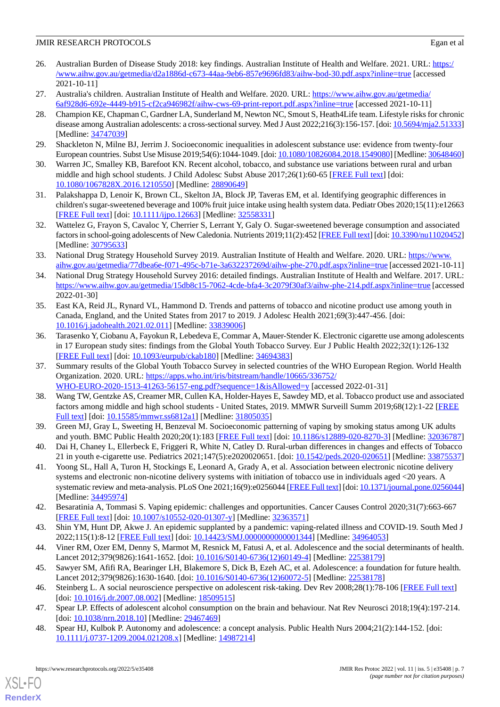- <span id="page-6-0"></span>26. Australian Burden of Disease Study 2018: key findings. Australian Institute of Health and Welfare. 2021. URL: [https:/](https://www.aihw.gov.au/getmedia/d2a1886d-c673-44aa-9eb6-857e9696fd83/aihw-bod-30.pdf.aspx?inline=true) [/www.aihw.gov.au/getmedia/d2a1886d-c673-44aa-9eb6-857e9696fd83/aihw-bod-30.pdf.aspx?inline=true](https://www.aihw.gov.au/getmedia/d2a1886d-c673-44aa-9eb6-857e9696fd83/aihw-bod-30.pdf.aspx?inline=true) [accessed 2021-10-11]
- <span id="page-6-2"></span><span id="page-6-1"></span>27. Australia's children. Australian Institute of Health and Welfare. 2020. URL: [https://www.aihw.gov.au/getmedia/](https://www.aihw.gov.au/getmedia/6af928d6-692e-4449-b915-cf2ca946982f/aihw-cws-69-print-report.pdf.aspx?inline=true) [6af928d6-692e-4449-b915-cf2ca946982f/aihw-cws-69-print-report.pdf.aspx?inline=true](https://www.aihw.gov.au/getmedia/6af928d6-692e-4449-b915-cf2ca946982f/aihw-cws-69-print-report.pdf.aspx?inline=true) [accessed 2021-10-11]
- 28. Champion KE, Chapman C, Gardner LA, Sunderland M, Newton NC, Smout S, Heath4Life team. Lifestyle risks for chronic disease among Australian adolescents: a cross-sectional survey. Med J Aust 2022;216(3):156-157. [doi: [10.5694/mja2.51333](http://dx.doi.org/10.5694/mja2.51333)] [Medline: [34747039](http://www.ncbi.nlm.nih.gov/entrez/query.fcgi?cmd=Retrieve&db=PubMed&list_uids=34747039&dopt=Abstract)]
- <span id="page-6-3"></span>29. Shackleton N, Milne BJ, Jerrim J. Socioeconomic inequalities in adolescent substance use: evidence from twenty-four European countries. Subst Use Misuse 2019;54(6):1044-1049. [doi: [10.1080/10826084.2018.1549080](http://dx.doi.org/10.1080/10826084.2018.1549080)] [Medline: [30648460\]](http://www.ncbi.nlm.nih.gov/entrez/query.fcgi?cmd=Retrieve&db=PubMed&list_uids=30648460&dopt=Abstract)
- 30. Warren JC, Smalley KB, Barefoot KN. Recent alcohol, tobacco, and substance use variations between rural and urban middle and high school students. J Child Adolesc Subst Abuse 2017;26(1):60-65 [[FREE Full text](http://europepmc.org/abstract/MED/28890649)] [doi: [10.1080/1067828X.2016.1210550](http://dx.doi.org/10.1080/1067828X.2016.1210550)] [Medline: [28890649\]](http://www.ncbi.nlm.nih.gov/entrez/query.fcgi?cmd=Retrieve&db=PubMed&list_uids=28890649&dopt=Abstract)
- <span id="page-6-4"></span>31. Palakshappa D, Lenoir K, Brown CL, Skelton JA, Block JP, Taveras EM, et al. Identifying geographic differences in children's sugar-sweetened beverage and 100% fruit juice intake using health system data. Pediatr Obes 2020;15(11):e12663 [[FREE Full text](http://europepmc.org/abstract/MED/32558331)] [doi: [10.1111/ijpo.12663\]](http://dx.doi.org/10.1111/ijpo.12663) [Medline: [32558331\]](http://www.ncbi.nlm.nih.gov/entrez/query.fcgi?cmd=Retrieve&db=PubMed&list_uids=32558331&dopt=Abstract)
- <span id="page-6-5"></span>32. Wattelez G, Frayon S, Cavaloc Y, Cherrier S, Lerrant Y, Galy O. Sugar-sweetened beverage consumption and associated factors in school-going adolescents of New Caledonia. Nutrients 2019;11(2):452 [\[FREE Full text\]](https://www.mdpi.com/resolver?pii=nu11020452) [doi: [10.3390/nu11020452\]](http://dx.doi.org/10.3390/nu11020452) [Medline: [30795633](http://www.ncbi.nlm.nih.gov/entrez/query.fcgi?cmd=Retrieve&db=PubMed&list_uids=30795633&dopt=Abstract)]
- <span id="page-6-6"></span>33. National Drug Strategy Household Survey 2019. Australian Institute of Health and Welfare. 2020. URL: [https://www.](https://www.aihw.gov.au/getmedia/77dbea6e-f071-495c-b71e-3a632237269d/aihw-phe-270.pdf.aspx?inline=true) [aihw.gov.au/getmedia/77dbea6e-f071-495c-b71e-3a632237269d/aihw-phe-270.pdf.aspx?inline=true](https://www.aihw.gov.au/getmedia/77dbea6e-f071-495c-b71e-3a632237269d/aihw-phe-270.pdf.aspx?inline=true) [accessed 2021-10-11]
- <span id="page-6-7"></span>34. National Drug Strategy Household Survey 2016: detailed findings. Australian Institute of Health and Welfare. 2017. URL: <https://www.aihw.gov.au/getmedia/15db8c15-7062-4cde-bfa4-3c2079f30af3/aihw-phe-214.pdf.aspx?inline=true> [accessed 2022-01-30]
- 35. East KA, Reid JL, Rynard VL, Hammond D. Trends and patterns of tobacco and nicotine product use among youth in Canada, England, and the United States from 2017 to 2019. J Adolesc Health 2021;69(3):447-456. [doi: [10.1016/j.jadohealth.2021.02.011](http://dx.doi.org/10.1016/j.jadohealth.2021.02.011)] [Medline: [33839006](http://www.ncbi.nlm.nih.gov/entrez/query.fcgi?cmd=Retrieve&db=PubMed&list_uids=33839006&dopt=Abstract)]
- <span id="page-6-8"></span>36. Tarasenko Y, Ciobanu A, Fayokun R, Lebedeva E, Commar A, Mauer-Stender K. Electronic cigarette use among adolescents in 17 European study sites: findings from the Global Youth Tobacco Survey. Eur J Public Health 2022;32(1):126-132 [[FREE Full text](http://europepmc.org/abstract/MED/34694383)] [doi: [10.1093/eurpub/ckab180](http://dx.doi.org/10.1093/eurpub/ckab180)] [Medline: [34694383\]](http://www.ncbi.nlm.nih.gov/entrez/query.fcgi?cmd=Retrieve&db=PubMed&list_uids=34694383&dopt=Abstract)
- <span id="page-6-9"></span>37. Summary results of the Global Youth Tobacco Survey in selected countries of the WHO European Region. World Health Organization. 2020. URL: [https://apps.who.int/iris/bitstream/handle/10665/336752/](https://apps.who.int/iris/bitstream/handle/10665/336752/WHO-EURO-2020-1513-41263-56157-eng.pdf?sequence=1&isAllowed=y) [WHO-EURO-2020-1513-41263-56157-eng.pdf?sequence=1&isAllowed=y](https://apps.who.int/iris/bitstream/handle/10665/336752/WHO-EURO-2020-1513-41263-56157-eng.pdf?sequence=1&isAllowed=y) [accessed 2022-01-31]
- <span id="page-6-11"></span><span id="page-6-10"></span>38. Wang TW, Gentzke AS, Creamer MR, Cullen KA, Holder-Hayes E, Sawdey MD, et al. Tobacco product use and associated factors among middle and high school students - United States, 2019. MMWR Surveill Summ 2019;68(12):1-22 [\[FREE](http://europepmc.org/abstract/MED/31805035) [Full text\]](http://europepmc.org/abstract/MED/31805035) [doi: [10.15585/mmwr.ss6812a1\]](http://dx.doi.org/10.15585/mmwr.ss6812a1) [Medline: [31805035](http://www.ncbi.nlm.nih.gov/entrez/query.fcgi?cmd=Retrieve&db=PubMed&list_uids=31805035&dopt=Abstract)]
- <span id="page-6-12"></span>39. Green MJ, Gray L, Sweeting H, Benzeval M. Socioeconomic patterning of vaping by smoking status among UK adults and youth. BMC Public Health 2020;20(1):183 [\[FREE Full text\]](https://bmcpublichealth.biomedcentral.com/articles/10.1186/s12889-020-8270-3) [doi: [10.1186/s12889-020-8270-3\]](http://dx.doi.org/10.1186/s12889-020-8270-3) [Medline: [32036787](http://www.ncbi.nlm.nih.gov/entrez/query.fcgi?cmd=Retrieve&db=PubMed&list_uids=32036787&dopt=Abstract)]
- <span id="page-6-13"></span>40. Dai H, Chaney L, Ellerbeck E, Friggeri R, White N, Catley D. Rural-urban differences in changes and effects of Tobacco 21 in youth e-cigarette use. Pediatrics 2021;147(5):e2020020651. [doi: [10.1542/peds.2020-020651\]](http://dx.doi.org/10.1542/peds.2020-020651) [Medline: [33875537](http://www.ncbi.nlm.nih.gov/entrez/query.fcgi?cmd=Retrieve&db=PubMed&list_uids=33875537&dopt=Abstract)]
- <span id="page-6-14"></span>41. Yoong SL, Hall A, Turon H, Stockings E, Leonard A, Grady A, et al. Association between electronic nicotine delivery systems and electronic non-nicotine delivery systems with initiation of tobacco use in individuals aged <20 years. A systematic review and meta-analysis. PLoS One 2021;16(9):e0256044 [[FREE Full text](https://dx.plos.org/10.1371/journal.pone.0256044)] [doi: [10.1371/journal.pone.0256044\]](http://dx.doi.org/10.1371/journal.pone.0256044) [Medline: [34495974](http://www.ncbi.nlm.nih.gov/entrez/query.fcgi?cmd=Retrieve&db=PubMed&list_uids=34495974&dopt=Abstract)]
- <span id="page-6-16"></span><span id="page-6-15"></span>42. Besaratinia A, Tommasi S. Vaping epidemic: challenges and opportunities. Cancer Causes Control 2020;31(7):663-667 [[FREE Full text](http://europepmc.org/abstract/MED/32363571)] [doi: [10.1007/s10552-020-01307-y\]](http://dx.doi.org/10.1007/s10552-020-01307-y) [Medline: [32363571](http://www.ncbi.nlm.nih.gov/entrez/query.fcgi?cmd=Retrieve&db=PubMed&list_uids=32363571&dopt=Abstract)]
- <span id="page-6-17"></span>43. Shin YM, Hunt DP, Akwe J. An epidemic supplanted by a pandemic: vaping-related illness and COVID-19. South Med J 2022;115(1):8-12 [[FREE Full text](http://europepmc.org/abstract/MED/34964053)] [doi: [10.14423/SMJ.0000000000001344\]](http://dx.doi.org/10.14423/SMJ.0000000000001344) [Medline: [34964053](http://www.ncbi.nlm.nih.gov/entrez/query.fcgi?cmd=Retrieve&db=PubMed&list_uids=34964053&dopt=Abstract)]
- <span id="page-6-19"></span>44. Viner RM, Ozer EM, Denny S, Marmot M, Resnick M, Fatusi A, et al. Adolescence and the social determinants of health. Lancet 2012;379(9826):1641-1652. [doi: [10.1016/S0140-6736\(12\)60149-4](http://dx.doi.org/10.1016/S0140-6736(12)60149-4)] [Medline: [22538179](http://www.ncbi.nlm.nih.gov/entrez/query.fcgi?cmd=Retrieve&db=PubMed&list_uids=22538179&dopt=Abstract)]
- <span id="page-6-18"></span>45. Sawyer SM, Afifi RA, Bearinger LH, Blakemore S, Dick B, Ezeh AC, et al. Adolescence: a foundation for future health. Lancet 2012;379(9826):1630-1640. [doi: [10.1016/S0140-6736\(12\)60072-5](http://dx.doi.org/10.1016/S0140-6736(12)60072-5)] [Medline: [22538178](http://www.ncbi.nlm.nih.gov/entrez/query.fcgi?cmd=Retrieve&db=PubMed&list_uids=22538178&dopt=Abstract)]
- 46. Steinberg L. A social neuroscience perspective on adolescent risk-taking. Dev Rev 2008;28(1):78-106 [\[FREE Full text\]](http://europepmc.org/abstract/MED/18509515) [doi: [10.1016/j.dr.2007.08.002\]](http://dx.doi.org/10.1016/j.dr.2007.08.002) [Medline: [18509515](http://www.ncbi.nlm.nih.gov/entrez/query.fcgi?cmd=Retrieve&db=PubMed&list_uids=18509515&dopt=Abstract)]
- 47. Spear LP. Effects of adolescent alcohol consumption on the brain and behaviour. Nat Rev Neurosci 2018;19(4):197-214. [doi: [10.1038/nrn.2018.10\]](http://dx.doi.org/10.1038/nrn.2018.10) [Medline: [29467469](http://www.ncbi.nlm.nih.gov/entrez/query.fcgi?cmd=Retrieve&db=PubMed&list_uids=29467469&dopt=Abstract)]
- 48. Spear HJ, Kulbok P. Autonomy and adolescence: a concept analysis. Public Health Nurs 2004;21(2):144-152. [doi: [10.1111/j.0737-1209.2004.021208.x\]](http://dx.doi.org/10.1111/j.0737-1209.2004.021208.x) [Medline: [14987214\]](http://www.ncbi.nlm.nih.gov/entrez/query.fcgi?cmd=Retrieve&db=PubMed&list_uids=14987214&dopt=Abstract)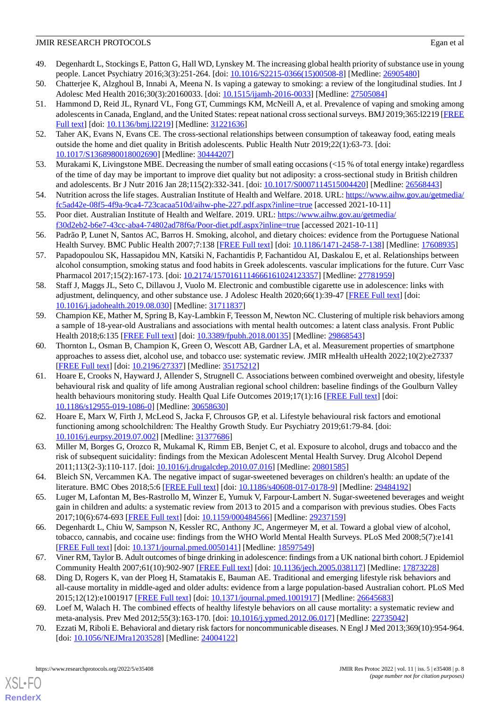- <span id="page-7-0"></span>49. Degenhardt L, Stockings E, Patton G, Hall WD, Lynskey M. The increasing global health priority of substance use in young people. Lancet Psychiatry 2016;3(3):251-264. [doi: [10.1016/S2215-0366\(15\)00508-8\]](http://dx.doi.org/10.1016/S2215-0366(15)00508-8) [Medline: [26905480](http://www.ncbi.nlm.nih.gov/entrez/query.fcgi?cmd=Retrieve&db=PubMed&list_uids=26905480&dopt=Abstract)]
- <span id="page-7-1"></span>50. Chatterjee K, Alzghoul B, Innabi A, Meena N. Is vaping a gateway to smoking: a review of the longitudinal studies. Int J Adolesc Med Health 2016;30(3):20160033. [doi: [10.1515/ijamh-2016-0033](http://dx.doi.org/10.1515/ijamh-2016-0033)] [Medline: [27505084\]](http://www.ncbi.nlm.nih.gov/entrez/query.fcgi?cmd=Retrieve&db=PubMed&list_uids=27505084&dopt=Abstract)
- 51. Hammond D, Reid JL, Rynard VL, Fong GT, Cummings KM, McNeill A, et al. Prevalence of vaping and smoking among adolescents in Canada, England, and the United States: repeat national cross sectional surveys. BMJ 2019;365:12219 [\[FREE](http://www.bmj.com/lookup/pmidlookup?view=long&pmid=31221636) [Full text\]](http://www.bmj.com/lookup/pmidlookup?view=long&pmid=31221636) [doi: [10.1136/bmj.l2219](http://dx.doi.org/10.1136/bmj.l2219)] [Medline: [31221636](http://www.ncbi.nlm.nih.gov/entrez/query.fcgi?cmd=Retrieve&db=PubMed&list_uids=31221636&dopt=Abstract)]
- <span id="page-7-3"></span><span id="page-7-2"></span>52. Taher AK, Evans N, Evans CE. The cross-sectional relationships between consumption of takeaway food, eating meals outside the home and diet quality in British adolescents. Public Health Nutr 2019;22(1):63-73. [doi: [10.1017/S1368980018002690](http://dx.doi.org/10.1017/S1368980018002690)] [Medline: [30444207](http://www.ncbi.nlm.nih.gov/entrez/query.fcgi?cmd=Retrieve&db=PubMed&list_uids=30444207&dopt=Abstract)]
- <span id="page-7-4"></span>53. Murakami K, Livingstone MBE. Decreasing the number of small eating occasions (<15 % of total energy intake) regardless of the time of day may be important to improve diet quality but not adiposity: a cross-sectional study in British children and adolescents. Br J Nutr 2016 Jan 28;115(2):332-341. [doi: [10.1017/S0007114515004420](http://dx.doi.org/10.1017/S0007114515004420)] [Medline: [26568443](http://www.ncbi.nlm.nih.gov/entrez/query.fcgi?cmd=Retrieve&db=PubMed&list_uids=26568443&dopt=Abstract)]
- <span id="page-7-5"></span>54. Nutrition across the life stages. Australian Institute of Health and Welfare. 2018. URL: [https://www.aihw.gov.au/getmedia/](https://www.aihw.gov.au/getmedia/fc5ad42e-08f5-4f9a-9ca4-723cacaa510d/aihw-phe-227.pdf.aspx?inline=true) [fc5ad42e-08f5-4f9a-9ca4-723cacaa510d/aihw-phe-227.pdf.aspx?inline=true](https://www.aihw.gov.au/getmedia/fc5ad42e-08f5-4f9a-9ca4-723cacaa510d/aihw-phe-227.pdf.aspx?inline=true) [accessed 2021-10-11]
- <span id="page-7-6"></span>55. Poor diet. Australian Institute of Health and Welfare. 2019. URL: [https://www.aihw.gov.au/getmedia/](https://www.aihw.gov.au/getmedia/f30d2eb2-b6e7-43cc-aba4-74802ad78f6a/Poor-diet.pdf.aspx?inline=true) [f30d2eb2-b6e7-43cc-aba4-74802ad78f6a/Poor-diet.pdf.aspx?inline=true](https://www.aihw.gov.au/getmedia/f30d2eb2-b6e7-43cc-aba4-74802ad78f6a/Poor-diet.pdf.aspx?inline=true) [accessed 2021-10-11]
- 56. Padrão P, Lunet N, Santos AC, Barros H. Smoking, alcohol, and dietary choices: evidence from the Portuguese National Health Survey. BMC Public Health 2007;7:138 [\[FREE Full text\]](https://bmcpublichealth.biomedcentral.com/articles/10.1186/1471-2458-7-138) [doi: [10.1186/1471-2458-7-138](http://dx.doi.org/10.1186/1471-2458-7-138)] [Medline: [17608935](http://www.ncbi.nlm.nih.gov/entrez/query.fcgi?cmd=Retrieve&db=PubMed&list_uids=17608935&dopt=Abstract)]
- 57. Papadopoulou SK, Hassapidou MN, Katsiki N, Fachantidis P, Fachantidou AI, Daskalou E, et al. Relationships between alcohol consumption, smoking status and food habits in Greek adolescents. vascular implications for the future. Curr Vasc Pharmacol 2017;15(2):167-173. [doi: [10.2174/1570161114666161024123357](http://dx.doi.org/10.2174/1570161114666161024123357)] [Medline: [27781959\]](http://www.ncbi.nlm.nih.gov/entrez/query.fcgi?cmd=Retrieve&db=PubMed&list_uids=27781959&dopt=Abstract)
- <span id="page-7-7"></span>58. Staff J, Maggs JL, Seto C, Dillavou J, Vuolo M. Electronic and combustible cigarette use in adolescence: links with adjustment, delinquency, and other substance use. J Adolesc Health 2020;66(1):39-47 [\[FREE Full text\]](http://europepmc.org/abstract/MED/31711837) [doi: [10.1016/j.jadohealth.2019.08.030](http://dx.doi.org/10.1016/j.jadohealth.2019.08.030)] [Medline: [31711837](http://www.ncbi.nlm.nih.gov/entrez/query.fcgi?cmd=Retrieve&db=PubMed&list_uids=31711837&dopt=Abstract)]
- <span id="page-7-8"></span>59. Champion KE, Mather M, Spring B, Kay-Lambkin F, Teesson M, Newton NC. Clustering of multiple risk behaviors among a sample of 18-year-old Australians and associations with mental health outcomes: a latent class analysis. Front Public Health 2018;6:135 [\[FREE Full text\]](https://doi.org/10.3389/fpubh.2018.00135) [doi: [10.3389/fpubh.2018.00135](http://dx.doi.org/10.3389/fpubh.2018.00135)] [Medline: [29868543](http://www.ncbi.nlm.nih.gov/entrez/query.fcgi?cmd=Retrieve&db=PubMed&list_uids=29868543&dopt=Abstract)]
- <span id="page-7-9"></span>60. Thornton L, Osman B, Champion K, Green O, Wescott AB, Gardner LA, et al. Measurement properties of smartphone approaches to assess diet, alcohol use, and tobacco use: systematic review. JMIR mHealth uHealth 2022;10(2):e27337 [[FREE Full text](https://mhealth.jmir.org/2022/2/e27337/)] [doi: [10.2196/27337\]](http://dx.doi.org/10.2196/27337) [Medline: [35175212\]](http://www.ncbi.nlm.nih.gov/entrez/query.fcgi?cmd=Retrieve&db=PubMed&list_uids=35175212&dopt=Abstract)
- <span id="page-7-10"></span>61. Hoare E, Crooks N, Hayward J, Allender S, Strugnell C. Associations between combined overweight and obesity, lifestyle behavioural risk and quality of life among Australian regional school children: baseline findings of the Goulburn Valley health behaviours monitoring study. Health Qual Life Outcomes 2019;17(1):16 [[FREE Full text](https://hqlo.biomedcentral.com/articles/10.1186/s12955-019-1086-0)] [doi: [10.1186/s12955-019-1086-0\]](http://dx.doi.org/10.1186/s12955-019-1086-0) [Medline: [30658630](http://www.ncbi.nlm.nih.gov/entrez/query.fcgi?cmd=Retrieve&db=PubMed&list_uids=30658630&dopt=Abstract)]
- <span id="page-7-12"></span><span id="page-7-11"></span>62. Hoare E, Marx W, Firth J, McLeod S, Jacka F, Chrousos GP, et al. Lifestyle behavioural risk factors and emotional functioning among schoolchildren: The Healthy Growth Study. Eur Psychiatry 2019;61:79-84. [doi: [10.1016/j.eurpsy.2019.07.002\]](http://dx.doi.org/10.1016/j.eurpsy.2019.07.002) [Medline: [31377686](http://www.ncbi.nlm.nih.gov/entrez/query.fcgi?cmd=Retrieve&db=PubMed&list_uids=31377686&dopt=Abstract)]
- <span id="page-7-13"></span>63. Miller M, Borges G, Orozco R, Mukamal K, Rimm EB, Benjet C, et al. Exposure to alcohol, drugs and tobacco and the risk of subsequent suicidality: findings from the Mexican Adolescent Mental Health Survey. Drug Alcohol Depend 2011;113(2-3):110-117. [doi: [10.1016/j.drugalcdep.2010.07.016](http://dx.doi.org/10.1016/j.drugalcdep.2010.07.016)] [Medline: [20801585](http://www.ncbi.nlm.nih.gov/entrez/query.fcgi?cmd=Retrieve&db=PubMed&list_uids=20801585&dopt=Abstract)]
- <span id="page-7-14"></span>64. Bleich SN, Vercammen KA. The negative impact of sugar-sweetened beverages on children's health: an update of the literature. BMC Obes 2018;5:6 [[FREE Full text](https://bmcobes.biomedcentral.com/articles/10.1186/s40608-017-0178-9)] [doi: [10.1186/s40608-017-0178-9\]](http://dx.doi.org/10.1186/s40608-017-0178-9) [Medline: [29484192](http://www.ncbi.nlm.nih.gov/entrez/query.fcgi?cmd=Retrieve&db=PubMed&list_uids=29484192&dopt=Abstract)]
- <span id="page-7-15"></span>65. Luger M, Lafontan M, Bes-Rastrollo M, Winzer E, Yumuk V, Farpour-Lambert N. Sugar-sweetened beverages and weight gain in children and adults: a systematic review from 2013 to 2015 and a comparison with previous studies. Obes Facts 2017;10(6):674-693 [[FREE Full text](https://www.karger.com?DOI=10.1159/000484566)] [doi: [10.1159/000484566\]](http://dx.doi.org/10.1159/000484566) [Medline: [29237159\]](http://www.ncbi.nlm.nih.gov/entrez/query.fcgi?cmd=Retrieve&db=PubMed&list_uids=29237159&dopt=Abstract)
- <span id="page-7-16"></span>66. Degenhardt L, Chiu W, Sampson N, Kessler RC, Anthony JC, Angermeyer M, et al. Toward a global view of alcohol, tobacco, cannabis, and cocaine use: findings from the WHO World Mental Health Surveys. PLoS Med 2008;5(7):e141 [[FREE Full text](https://dx.plos.org/10.1371/journal.pmed.0050141)] [doi: [10.1371/journal.pmed.0050141](http://dx.doi.org/10.1371/journal.pmed.0050141)] [Medline: [18597549](http://www.ncbi.nlm.nih.gov/entrez/query.fcgi?cmd=Retrieve&db=PubMed&list_uids=18597549&dopt=Abstract)]
- <span id="page-7-17"></span>67. Viner RM, Taylor B. Adult outcomes of binge drinking in adolescence: findings from a UK national birth cohort. J Epidemiol Community Health 2007;61(10):902-907 [\[FREE Full text\]](http://europepmc.org/abstract/MED/17873228) [doi: [10.1136/jech.2005.038117\]](http://dx.doi.org/10.1136/jech.2005.038117) [Medline: [17873228\]](http://www.ncbi.nlm.nih.gov/entrez/query.fcgi?cmd=Retrieve&db=PubMed&list_uids=17873228&dopt=Abstract)
- 68. Ding D, Rogers K, van der Ploeg H, Stamatakis E, Bauman AE. Traditional and emerging lifestyle risk behaviors and all-cause mortality in middle-aged and older adults: evidence from a large population-based Australian cohort. PLoS Med 2015;12(12):e1001917 [\[FREE Full text](https://dx.plos.org/10.1371/journal.pmed.1001917)] [doi: [10.1371/journal.pmed.1001917\]](http://dx.doi.org/10.1371/journal.pmed.1001917) [Medline: [26645683](http://www.ncbi.nlm.nih.gov/entrez/query.fcgi?cmd=Retrieve&db=PubMed&list_uids=26645683&dopt=Abstract)]
- 69. Loef M, Walach H. The combined effects of healthy lifestyle behaviors on all cause mortality: a systematic review and meta-analysis. Prev Med 2012;55(3):163-170. [doi: [10.1016/j.ypmed.2012.06.017](http://dx.doi.org/10.1016/j.ypmed.2012.06.017)] [Medline: [22735042\]](http://www.ncbi.nlm.nih.gov/entrez/query.fcgi?cmd=Retrieve&db=PubMed&list_uids=22735042&dopt=Abstract)
- 70. Ezzati M, Riboli E. Behavioral and dietary risk factors for noncommunicable diseases. N Engl J Med 2013;369(10):954-964. [doi: [10.1056/NEJMra1203528](http://dx.doi.org/10.1056/NEJMra1203528)] [Medline: [24004122\]](http://www.ncbi.nlm.nih.gov/entrez/query.fcgi?cmd=Retrieve&db=PubMed&list_uids=24004122&dopt=Abstract)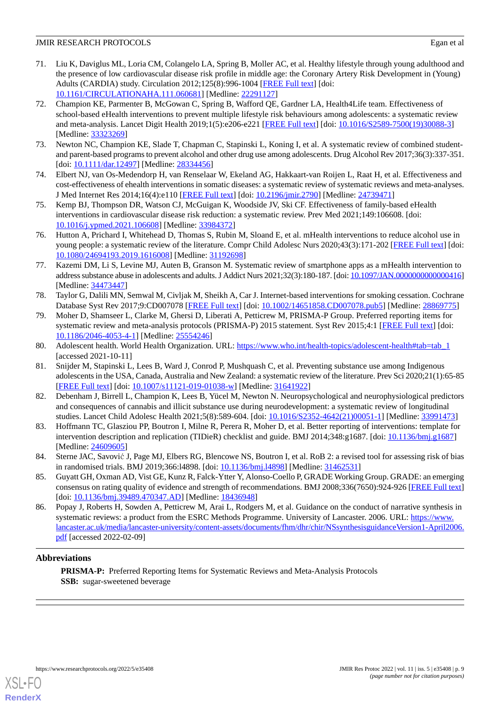- <span id="page-8-0"></span>71. Liu K, Daviglus ML, Loria CM, Colangelo LA, Spring B, Moller AC, et al. Healthy lifestyle through young adulthood and the presence of low cardiovascular disease risk profile in middle age: the Coronary Artery Risk Development in (Young) Adults (CARDIA) study. Circulation 2012;125(8):996-1004 [\[FREE Full text\]](http://europepmc.org/abstract/MED/22291127) [doi: [10.1161/CIRCULATIONAHA.111.060681\]](http://dx.doi.org/10.1161/CIRCULATIONAHA.111.060681) [Medline: [22291127\]](http://www.ncbi.nlm.nih.gov/entrez/query.fcgi?cmd=Retrieve&db=PubMed&list_uids=22291127&dopt=Abstract)
- <span id="page-8-1"></span>72. Champion KE, Parmenter B, McGowan C, Spring B, Wafford QE, Gardner LA, Health4Life team. Effectiveness of school-based eHealth interventions to prevent multiple lifestyle risk behaviours among adolescents: a systematic review and meta-analysis. Lancet Digit Health 2019;1(5):e206-e221 [[FREE Full text](https://linkinghub.elsevier.com/retrieve/pii/S2589-7500(19)30088-3)] [doi: [10.1016/S2589-7500\(19\)30088-3](http://dx.doi.org/10.1016/S2589-7500(19)30088-3)] [Medline: [33323269](http://www.ncbi.nlm.nih.gov/entrez/query.fcgi?cmd=Retrieve&db=PubMed&list_uids=33323269&dopt=Abstract)]
- <span id="page-8-3"></span><span id="page-8-2"></span>73. Newton NC, Champion KE, Slade T, Chapman C, Stapinski L, Koning I, et al. A systematic review of combined studentand parent-based programs to prevent alcohol and other drug use among adolescents. Drug Alcohol Rev 2017;36(3):337-351. [doi: [10.1111/dar.12497\]](http://dx.doi.org/10.1111/dar.12497) [Medline: [28334456\]](http://www.ncbi.nlm.nih.gov/entrez/query.fcgi?cmd=Retrieve&db=PubMed&list_uids=28334456&dopt=Abstract)
- <span id="page-8-4"></span>74. Elbert NJ, van Os-Medendorp H, van Renselaar W, Ekeland AG, Hakkaart-van Roijen L, Raat H, et al. Effectiveness and cost-effectiveness of ehealth interventions in somatic diseases: a systematic review of systematic reviews and meta-analyses. J Med Internet Res 2014;16(4):e110 [\[FREE Full text\]](https://www.jmir.org/2014/4/e110/) [doi: [10.2196/jmir.2790\]](http://dx.doi.org/10.2196/jmir.2790) [Medline: [24739471\]](http://www.ncbi.nlm.nih.gov/entrez/query.fcgi?cmd=Retrieve&db=PubMed&list_uids=24739471&dopt=Abstract)
- <span id="page-8-5"></span>75. Kemp BJ, Thompson DR, Watson CJ, McGuigan K, Woodside JV, Ski CF. Effectiveness of family-based eHealth interventions in cardiovascular disease risk reduction: a systematic review. Prev Med 2021;149:106608. [doi: [10.1016/j.ypmed.2021.106608](http://dx.doi.org/10.1016/j.ypmed.2021.106608)] [Medline: [33984372](http://www.ncbi.nlm.nih.gov/entrez/query.fcgi?cmd=Retrieve&db=PubMed&list_uids=33984372&dopt=Abstract)]
- <span id="page-8-6"></span>76. Hutton A, Prichard I, Whitehead D, Thomas S, Rubin M, Sloand E, et al. mHealth interventions to reduce alcohol use in young people: a systematic review of the literature. Compr Child Adolesc Nurs 2020;43(3):171-202 [\[FREE Full text](http://europepmc.org/abstract/MED/31192698)] [doi: [10.1080/24694193.2019.1616008\]](http://dx.doi.org/10.1080/24694193.2019.1616008) [Medline: [31192698\]](http://www.ncbi.nlm.nih.gov/entrez/query.fcgi?cmd=Retrieve&db=PubMed&list_uids=31192698&dopt=Abstract)
- <span id="page-8-7"></span>77. Kazemi DM, Li S, Levine MJ, Auten B, Granson M. Systematic review of smartphone apps as a mHealth intervention to address substance abuse in adolescents and adults. J Addict Nurs 2021;32(3):180-187. [doi: [10.1097/JAN.0000000000000416](http://dx.doi.org/10.1097/JAN.0000000000000416)] [Medline: [34473447](http://www.ncbi.nlm.nih.gov/entrez/query.fcgi?cmd=Retrieve&db=PubMed&list_uids=34473447&dopt=Abstract)]
- <span id="page-8-8"></span>78. Taylor G, Dalili MN, Semwal M, Civljak M, Sheikh A, Car J. Internet-based interventions for smoking cessation. Cochrane Database Syst Rev 2017;9:CD007078 [\[FREE Full text](http://europepmc.org/abstract/MED/28869775)] [doi: [10.1002/14651858.CD007078.pub5\]](http://dx.doi.org/10.1002/14651858.CD007078.pub5) [Medline: [28869775\]](http://www.ncbi.nlm.nih.gov/entrez/query.fcgi?cmd=Retrieve&db=PubMed&list_uids=28869775&dopt=Abstract)
- <span id="page-8-10"></span><span id="page-8-9"></span>79. Moher D, Shamseer L, Clarke M, Ghersi D, Liberati A, Petticrew M, PRISMA-P Group. Preferred reporting items for systematic review and meta-analysis protocols (PRISMA-P) 2015 statement. Syst Rev 2015;4:1 [\[FREE Full text\]](https://systematicreviewsjournal.biomedcentral.com/articles/10.1186/2046-4053-4-1) [doi: [10.1186/2046-4053-4-1\]](http://dx.doi.org/10.1186/2046-4053-4-1) [Medline: [25554246\]](http://www.ncbi.nlm.nih.gov/entrez/query.fcgi?cmd=Retrieve&db=PubMed&list_uids=25554246&dopt=Abstract)
- 80. Adolescent health. World Health Organization. URL: [https://www.who.int/health-topics/adolescent-health#tab=tab\\_1](https://www.who.int/health-topics/adolescent-health#tab=tab_1) [accessed 2021-10-11]
- <span id="page-8-11"></span>81. Snijder M, Stapinski L, Lees B, Ward J, Conrod P, Mushquash C, et al. Preventing substance use among Indigenous adolescents in the USA, Canada, Australia and New Zealand: a systematic review of the literature. Prev Sci 2020;21(1):65-85 [[FREE Full text](http://europepmc.org/abstract/MED/31641922)] [doi: [10.1007/s11121-019-01038-w\]](http://dx.doi.org/10.1007/s11121-019-01038-w) [Medline: [31641922\]](http://www.ncbi.nlm.nih.gov/entrez/query.fcgi?cmd=Retrieve&db=PubMed&list_uids=31641922&dopt=Abstract)
- <span id="page-8-13"></span><span id="page-8-12"></span>82. Debenham J, Birrell L, Champion K, Lees B, Yücel M, Newton N. Neuropsychological and neurophysiological predictors and consequences of cannabis and illicit substance use during neurodevelopment: a systematic review of longitudinal studies. Lancet Child Adolesc Health 2021;5(8):589-604. [doi: [10.1016/S2352-4642\(21\)00051-1](http://dx.doi.org/10.1016/S2352-4642(21)00051-1)] [Medline: [33991473](http://www.ncbi.nlm.nih.gov/entrez/query.fcgi?cmd=Retrieve&db=PubMed&list_uids=33991473&dopt=Abstract)]
- <span id="page-8-14"></span>83. Hoffmann TC, Glasziou PP, Boutron I, Milne R, Perera R, Moher D, et al. Better reporting of interventions: template for intervention description and replication (TIDieR) checklist and guide. BMJ 2014;348:g1687. [doi: [10.1136/bmj.g1687](http://dx.doi.org/10.1136/bmj.g1687)] [Medline: [24609605](http://www.ncbi.nlm.nih.gov/entrez/query.fcgi?cmd=Retrieve&db=PubMed&list_uids=24609605&dopt=Abstract)]
- <span id="page-8-15"></span>84. Sterne JAC, Savović J, Page MJ, Elbers RG, Blencowe NS, Boutron I, et al. RoB 2: a revised tool for assessing risk of bias in randomised trials. BMJ 2019;366:l4898. [doi: [10.1136/bmj.l4898\]](http://dx.doi.org/10.1136/bmj.l4898) [Medline: [31462531](http://www.ncbi.nlm.nih.gov/entrez/query.fcgi?cmd=Retrieve&db=PubMed&list_uids=31462531&dopt=Abstract)]
- 85. Guyatt GH, Oxman AD, Vist GE, Kunz R, Falck-Ytter Y, Alonso-Coello P, GRADE Working Group. GRADE: an emerging consensus on rating quality of evidence and strength of recommendations. BMJ 2008;336(7650):924-926 [[FREE Full text](http://europepmc.org/abstract/MED/18436948)] [doi: [10.1136/bmj.39489.470347.AD\]](http://dx.doi.org/10.1136/bmj.39489.470347.AD) [Medline: [18436948\]](http://www.ncbi.nlm.nih.gov/entrez/query.fcgi?cmd=Retrieve&db=PubMed&list_uids=18436948&dopt=Abstract)
- 86. Popay J, Roberts H, Sowden A, Petticrew M, Arai L, Rodgers M, et al. Guidance on the conduct of narrative synthesis in systematic reviews: a product from the ESRC Methods Programme. University of Lancaster. 2006. URL: [https://www.](https://www.lancaster.ac.uk/media/lancaster-university/content-assets/documents/fhm/dhr/chir/NSsynthesisguidanceVersion1-April2006.pdf) [lancaster.ac.uk/media/lancaster-university/content-assets/documents/fhm/dhr/chir/NSsynthesisguidanceVersion1-April2006.](https://www.lancaster.ac.uk/media/lancaster-university/content-assets/documents/fhm/dhr/chir/NSsynthesisguidanceVersion1-April2006.pdf) [pdf](https://www.lancaster.ac.uk/media/lancaster-university/content-assets/documents/fhm/dhr/chir/NSsynthesisguidanceVersion1-April2006.pdf) [accessed 2022-02-09]

# **Abbreviations**

**PRISMA-P:** Preferred Reporting Items for Systematic Reviews and Meta-Analysis Protocols **SSB:** sugar-sweetened beverage